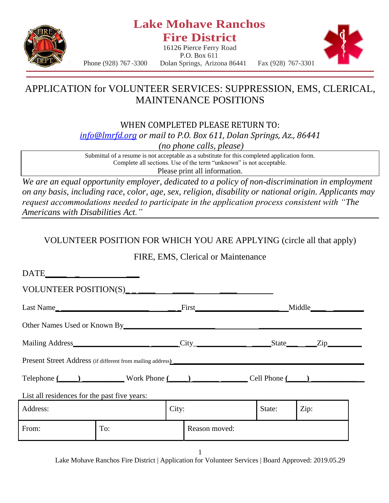

### **Lake Mohave Ranchos Fire District**

16126 Pierce Ferry Road



P.O. Box 611 Phone (928) 767 -3300 Dolan Springs, Arizona 86441 Fax (928) 767-3301

## APPLICATION for VOLUNTEER SERVICES: SUPPRESSION, EMS, CLERICAL, MAINTENANCE POSITIONS

WHEN COMPLETED PLEASE RETURN TO: *[info@lmrfd.org](mailto:info@lmrfd.org) or mail to P.O. Box 611, Dolan Springs, Az., 86441 (no phone calls, please)*

Submittal of a resume is not acceptable as a substitute for this completed application form. Complete all sections. Use of the term "unknown" is not acceptable. Please print all information.

*We are an equal opportunity employer, dedicated to a policy of non-discrimination in employment on any basis, including race, color, age, sex, religion, disability or national origin. Applicants may request accommodations needed to participate in the application process consistent with "The Americans with Disabilities Act."*

#### VOLUNTEER POSITION FOR WHICH YOU ARE APPLYING (circle all that apply)

FIRE, EMS, Clerical or Maintenance

| VOLUNTEER POSITION(S)                                                                                                                                                                                                          |     |  |               |        |      |  |
|--------------------------------------------------------------------------------------------------------------------------------------------------------------------------------------------------------------------------------|-----|--|---------------|--------|------|--|
|                                                                                                                                                                                                                                |     |  |               |        |      |  |
| Other Names Used or Known By Manual Andrew Manual Andrew Manual Andrew Manual Andrew Manual Andrew Manual Andrew Manual Andrew Manual Andrew Manual Andrew Manual Andrew Manual Andrew Manual Andrew Manual Andrew Manual Andr |     |  |               |        |      |  |
|                                                                                                                                                                                                                                |     |  |               |        |      |  |
|                                                                                                                                                                                                                                |     |  |               |        |      |  |
| Telephone (Changelephone Work Phone (Changelephone Cell Phone (Changelephone Cell Phone (Changelephone Cell Phone Changelephone Cell Phone Changelephone Changelephone Changelephone Changelephone Changelephone Changelephone |     |  |               |        |      |  |
| List all residences for the past five years:                                                                                                                                                                                   |     |  |               |        |      |  |
| City:<br>Address:                                                                                                                                                                                                              |     |  |               | State: | Zip: |  |
| From:                                                                                                                                                                                                                          | To: |  | Reason moved: |        |      |  |
|                                                                                                                                                                                                                                |     |  |               |        |      |  |

1

Lake Mohave Ranchos Fire District | Application for Volunteer Services | Board Approved: 2019.05.29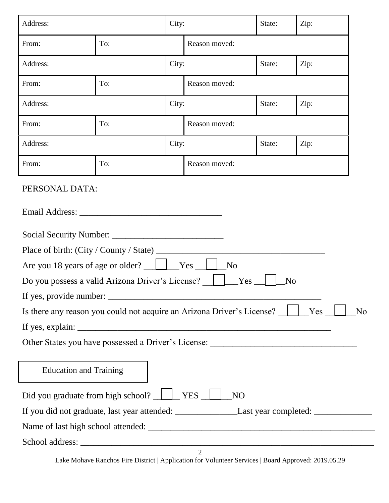| Address:<br>City:                                                                                                                                                                    |       |       | State:<br>Zip: |                |      |  |
|--------------------------------------------------------------------------------------------------------------------------------------------------------------------------------------|-------|-------|----------------|----------------|------|--|
| From:                                                                                                                                                                                | To:   |       | Reason moved:  |                |      |  |
| Address:                                                                                                                                                                             |       | City: |                | State:<br>Zip: |      |  |
| From:                                                                                                                                                                                | To:   |       | Reason moved:  |                |      |  |
| Address:                                                                                                                                                                             | City: |       | State:         |                | Zip: |  |
| From:                                                                                                                                                                                | To:   |       | Reason moved:  |                |      |  |
| Address:                                                                                                                                                                             |       | City: |                | State:         |      |  |
| From:                                                                                                                                                                                | To:   |       | Reason moved:  |                |      |  |
| PERSONAL DATA:                                                                                                                                                                       |       |       |                |                |      |  |
| Place of birth: (City / County / State) _<br>Yes<br>N <sub>o</sub><br>Are you 18 years of age or older?<br>Do you possess a valid Arizona Driver's License?<br>Yes<br>N <sub>o</sub> |       |       |                |                |      |  |
| Is there any reason you could not acquire an Arizona Driver's License? [135] Yes<br>N <sub>o</sub>                                                                                   |       |       |                |                |      |  |
|                                                                                                                                                                                      |       |       |                |                |      |  |
|                                                                                                                                                                                      |       |       |                |                |      |  |
| <b>Education and Training</b>                                                                                                                                                        |       |       |                |                |      |  |
| Did you graduate from high school? VES<br>NO <sub>1</sub>                                                                                                                            |       |       |                |                |      |  |
|                                                                                                                                                                                      |       |       |                |                |      |  |
|                                                                                                                                                                                      |       |       |                |                |      |  |
|                                                                                                                                                                                      |       |       |                |                |      |  |
|                                                                                                                                                                                      |       |       | $\overline{2}$ |                |      |  |

Lake Mohave Ranchos Fire District | Application for Volunteer Services | Board Approved: 2019.05.29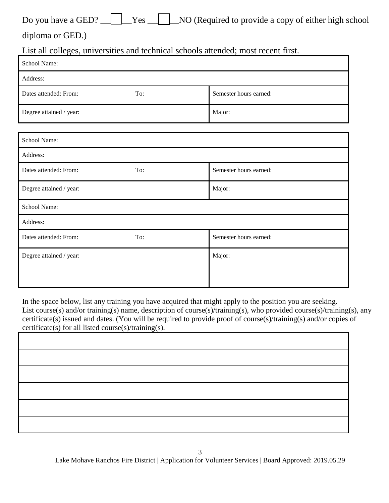diploma or GED.)

List all colleges, universities and technical schools attended; most recent first.

| School Name:                 |     |                        |
|------------------------------|-----|------------------------|
| Address:                     |     |                        |
| Dates attended: From:        | To: | Semester hours earned: |
| Degree attained / year:      |     | Major:                 |
| School Name:                 |     |                        |
| Address:                     |     |                        |
| Dates attended: From:        | To: | Semester hours earned: |
| Degree attained / year:      |     | Major:                 |
| School Name:                 |     |                        |
| Address:                     |     |                        |
| Dates attended: From:        | To: | Semester hours earned: |
| Degree attained / year: $\,$ |     | Major:                 |
|                              |     |                        |

In the space below, list any training you have acquired that might apply to the position you are seeking. List course(s) and/or training(s) name, description of course(s)/training(s), who provided course(s)/training(s), any certificate(s) issued and dates. (You will be required to provide proof of course(s)/training(s) and/or copies of certificate(s) for all listed course(s)/training(s).

| <u> 1989 - Andrea Andrew Maria (h. 1989).</u> |
|-----------------------------------------------|
|                                               |
|                                               |
|                                               |
|                                               |
|                                               |
|                                               |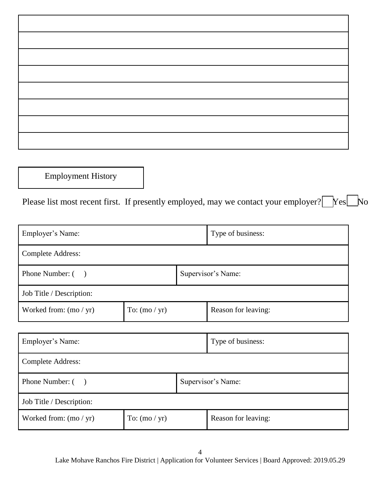Employment History

Please list most recent first. If presently employed, may we contact your employer? Festivo

| Employer's Name:                            |  |                    | Type of business:   |  |
|---------------------------------------------|--|--------------------|---------------------|--|
| <b>Complete Address:</b>                    |  |                    |                     |  |
| Phone Number: ()                            |  | Supervisor's Name: |                     |  |
| Job Title / Description:                    |  |                    |                     |  |
| Worked from: $(mo / yr)$<br>To: $(mo / yr)$ |  |                    | Reason for leaving: |  |
|                                             |  |                    |                     |  |
| Employer's Name:                            |  |                    | Type of business:   |  |

| Linprover Stranic.       |                 |                    | Type of business.   |  |
|--------------------------|-----------------|--------------------|---------------------|--|
| <b>Complete Address:</b> |                 |                    |                     |  |
| Phone Number: ()         |                 | Supervisor's Name: |                     |  |
| Job Title / Description: |                 |                    |                     |  |
| Worked from: $(mo / yr)$ | To: $(mo / yr)$ |                    | Reason for leaving: |  |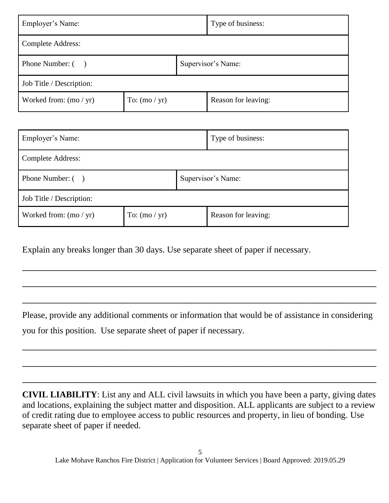| Employer's Name:                            |  |                    | Type of business:   |  |  |
|---------------------------------------------|--|--------------------|---------------------|--|--|
| <b>Complete Address:</b>                    |  |                    |                     |  |  |
| Phone Number: ()                            |  | Supervisor's Name: |                     |  |  |
| Job Title / Description:                    |  |                    |                     |  |  |
| To: $(mo / yr)$<br>Worked from: $(mo / yr)$ |  |                    | Reason for leaving: |  |  |

| Employer's Name:         |                 |                    | Type of business:   |
|--------------------------|-----------------|--------------------|---------------------|
| <b>Complete Address:</b> |                 |                    |                     |
| Phone Number: ()         |                 | Supervisor's Name: |                     |
| Job Title / Description: |                 |                    |                     |
| Worked from: $(mo / yr)$ | To: $(mo / yr)$ |                    | Reason for leaving: |

Explain any breaks longer than 30 days. Use separate sheet of paper if necessary.

Please, provide any additional comments or information that would be of assistance in considering you for this position. Use separate sheet of paper if necessary.

\_\_\_\_\_\_\_\_\_\_\_\_\_\_\_\_\_\_\_\_\_\_\_\_\_\_\_\_\_\_\_\_\_\_\_\_\_\_\_\_\_\_\_\_\_\_\_\_\_\_\_\_\_\_\_\_\_\_\_\_\_\_\_\_\_\_\_\_\_\_\_\_\_\_\_\_\_\_\_\_

\_\_\_\_\_\_\_\_\_\_\_\_\_\_\_\_\_\_\_\_\_\_\_\_\_\_\_\_\_\_\_\_\_\_\_\_\_\_\_\_\_\_\_\_\_\_\_\_\_\_\_\_\_\_\_\_\_\_\_\_\_\_\_\_\_\_\_\_\_\_\_\_\_\_\_\_\_\_\_\_

\_\_\_\_\_\_\_\_\_\_\_\_\_\_\_\_\_\_\_\_\_\_\_\_\_\_\_\_\_\_\_\_\_\_\_\_\_\_\_\_\_\_\_\_\_\_\_\_\_\_\_\_\_\_\_\_\_\_\_\_\_\_\_\_\_\_\_\_\_\_\_\_\_\_\_\_\_\_\_\_

\_\_\_\_\_\_\_\_\_\_\_\_\_\_\_\_\_\_\_\_\_\_\_\_\_\_\_\_\_\_\_\_\_\_\_\_\_\_\_\_\_\_\_\_\_\_\_\_\_\_\_\_\_\_\_\_\_\_\_\_\_\_\_\_\_\_\_\_\_\_\_\_\_\_\_\_\_\_\_\_

\_\_\_\_\_\_\_\_\_\_\_\_\_\_\_\_\_\_\_\_\_\_\_\_\_\_\_\_\_\_\_\_\_\_\_\_\_\_\_\_\_\_\_\_\_\_\_\_\_\_\_\_\_\_\_\_\_\_\_\_\_\_\_\_\_\_\_\_\_\_\_\_\_\_\_\_\_\_\_\_

\_\_\_\_\_\_\_\_\_\_\_\_\_\_\_\_\_\_\_\_\_\_\_\_\_\_\_\_\_\_\_\_\_\_\_\_\_\_\_\_\_\_\_\_\_\_\_\_\_\_\_\_\_\_\_\_\_\_\_\_\_\_\_\_\_\_\_\_\_\_\_\_\_\_\_\_\_\_\_\_

**CIVIL LIABILITY**: List any and ALL civil lawsuits in which you have been a party, giving dates and locations, explaining the subject matter and disposition. ALL applicants are subject to a review of credit rating due to employee access to public resources and property, in lieu of bonding. Use separate sheet of paper if needed.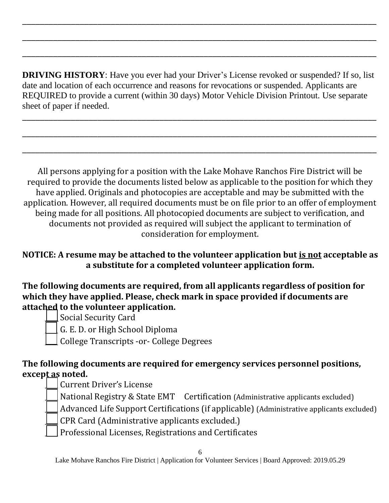**DRIVING HISTORY**: Have you ever had your Driver's License revoked or suspended? If so, list date and location of each occurrence and reasons for revocations or suspended. Applicants are REQUIRED to provide a current (within 30 days) Motor Vehicle Division Printout. Use separate sheet of paper if needed.

\_\_\_\_\_\_\_\_\_\_\_\_\_\_\_\_\_\_\_\_\_\_\_\_\_\_\_\_\_\_\_\_\_\_\_\_\_\_\_\_\_\_\_\_\_\_\_\_\_\_\_\_\_\_\_\_\_\_\_\_\_\_\_\_\_\_\_\_\_\_\_\_\_\_\_\_\_\_\_\_

\_\_\_\_\_\_\_\_\_\_\_\_\_\_\_\_\_\_\_\_\_\_\_\_\_\_\_\_\_\_\_\_\_\_\_\_\_\_\_\_\_\_\_\_\_\_\_\_\_\_\_\_\_\_\_\_\_\_\_\_\_\_\_\_\_\_\_\_\_\_\_\_\_\_\_\_\_\_\_\_

\_\_\_\_\_\_\_\_\_\_\_\_\_\_\_\_\_\_\_\_\_\_\_\_\_\_\_\_\_\_\_\_\_\_\_\_\_\_\_\_\_\_\_\_\_\_\_\_\_\_\_\_\_\_\_\_\_\_\_\_\_\_\_\_\_\_\_\_\_\_\_\_\_\_\_\_\_\_\_\_

\_\_\_\_\_\_\_\_\_\_\_\_\_\_\_\_\_\_\_\_\_\_\_\_\_\_\_\_\_\_\_\_\_\_\_\_\_\_\_\_\_\_\_\_\_\_\_\_\_\_\_\_\_\_\_\_\_\_\_\_\_\_\_\_\_\_\_\_\_\_\_\_\_\_\_\_\_\_\_\_

\_\_\_\_\_\_\_\_\_\_\_\_\_\_\_\_\_\_\_\_\_\_\_\_\_\_\_\_\_\_\_\_\_\_\_\_\_\_\_\_\_\_\_\_\_\_\_\_\_\_\_\_\_\_\_\_\_\_\_\_\_\_\_\_\_\_\_\_\_\_\_\_\_\_\_\_\_\_\_\_

\_\_\_\_\_\_\_\_\_\_\_\_\_\_\_\_\_\_\_\_\_\_\_\_\_\_\_\_\_\_\_\_\_\_\_\_\_\_\_\_\_\_\_\_\_\_\_\_\_\_\_\_\_\_\_\_\_\_\_\_\_\_\_\_\_\_\_\_\_\_\_\_\_\_\_\_\_\_\_\_

All persons applying for a position with the Lake Mohave Ranchos Fire District will be required to provide the documents listed below as applicable to the position for which they have applied. Originals and photocopies are acceptable and may be submitted with the application. However, all required documents must be on file prior to an offer of employment being made for all positions. All photocopied documents are subject to verification, and documents not provided as required will subject the applicant to termination of consideration for employment.

### **NOTICE: A resume may be attached to the volunteer application but is not acceptable as a substitute for a completed volunteer application form.**

**The following documents are required, from all applicants regardless of position for which they have applied. Please, check mark in space provided if documents are attached to the volunteer application.**

Social Security Card



\_\_\_\_ College Transcripts -or- College Degrees

### **The following documents are required for emergency services personnel positions, except as noted.**

\_\_\_\_ Current Driver's License

National Registry & State EMT Certification (Administrative applicants excluded)

Advanced Life Support Certifications (if applicable) (Administrative applicants excluded)

- \_\_\_\_ CPR Card (Administrative applicants excluded.)
- \_\_\_\_ Professional Licenses, Registrations and Certificates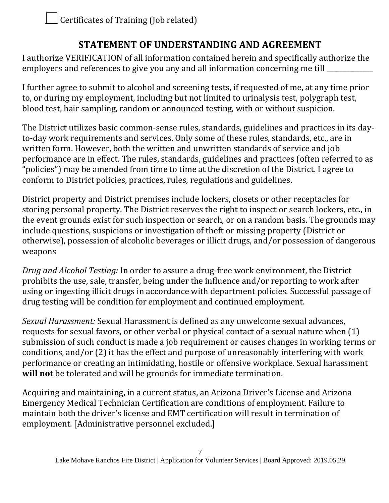# **STATEMENT OF UNDERSTANDING AND AGREEMENT**

I authorize VERIFICATION of all information contained herein and specifically authorize the employers and references to give you any and all information concerning me till

I further agree to submit to alcohol and screening tests, if requested of me, at any time prior to, or during my employment, including but not limited to urinalysis test, polygraph test, blood test, hair sampling, random or announced testing, with or without suspicion.

The District utilizes basic common-sense rules, standards, guidelines and practices in its dayto-day work requirements and services. Only some of these rules, standards, etc., are in written form. However, both the written and unwritten standards of service and job performance are in effect. The rules, standards, guidelines and practices (often referred to as "policies") may be amended from time to time at the discretion of the District. I agree to conform to District policies, practices, rules, regulations and guidelines.

District property and District premises include lockers, closets or other receptacles for storing personal property. The District reserves the right to inspect or search lockers, etc., in the event grounds exist for such inspection or search, or on a random basis. The grounds may include questions, suspicions or investigation of theft or missing property (District or otherwise), possession of alcoholic beverages or illicit drugs, and/or possession of dangerous weapons

*Drug and Alcohol Testing:* In order to assure a drug-free work environment, the District prohibits the use, sale, transfer, being under the influence and/or reporting to work after using or ingesting illicit drugs in accordance with department policies. Successful passage of drug testing will be condition for employment and continued employment.

*Sexual Harassment:* Sexual Harassment is defined as any unwelcome sexual advances, requests for sexual favors, or other verbal or physical contact of a sexual nature when (1) submission of such conduct is made a job requirement or causes changes in working terms or conditions, and/or (2) it has the effect and purpose of unreasonably interfering with work performance or creating an intimidating, hostile or offensive workplace. Sexual harassment **will not** be tolerated and will be grounds for immediate termination.

Acquiring and maintaining, in a current status, an Arizona Driver's License and Arizona Emergency Medical Technician Certification are conditions of employment. Failure to maintain both the driver's license and EMT certification will result in termination of employment. [Administrative personnel excluded.]